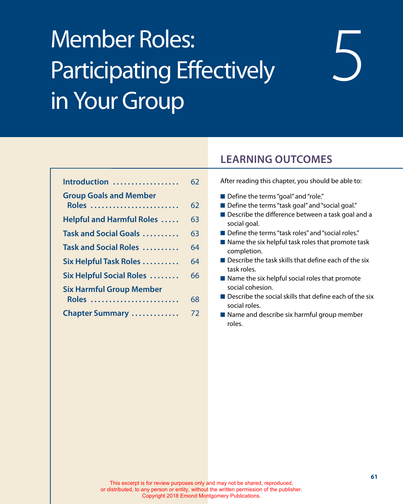# Member Roles: Participating Effectively in Your Group

| Introduction                             | 62 |
|------------------------------------------|----|
| <b>Group Goals and Member</b><br>Roles   | 62 |
| <b>Helpful and Harmful Roles </b>        | 63 |
| Task and Social Goals                    | 63 |
| Task and Social Roles                    | 64 |
| Six Helpful Task Roles                   | 64 |
| Six Helpful Social Roles                 | 66 |
| <b>Six Harmful Group Member</b><br>Roles | 68 |
| <b>Chapter Summary </b>                  | 72 |
|                                          |    |

## **LEARNING OUTCOMES**

After reading this chapter, you should be able to:

5

- Define the terms "goal" and "role."
- Define the terms "task goal" and "social goal."
- Describe the difference between a task goal and a social goal.
- Define the terms "task roles" and "social roles."
- Name the six helpful task roles that promote task completion.
- Describe the task skills that define each of the six task roles.
- Name the six helpful social roles that promote social cohesion.
- Describe the social skills that define each of the six social roles.
- Name and describe six harmful group member roles.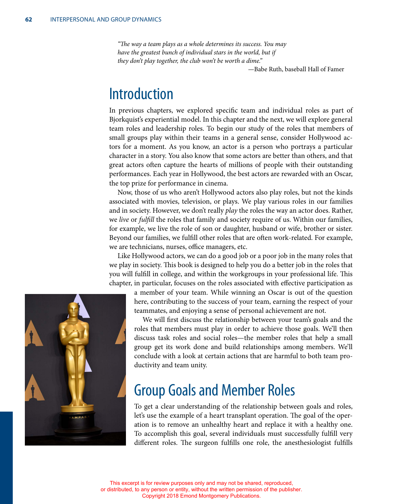<span id="page-1-0"></span>*"The way a team plays as a whole determines its success. You may have the greatest bunch of individual stars in the world, but if they don't play together, the club won't be worth a dime."*

—Babe Ruth, baseball Hall of Famer

## Introduction

In previous chapters, we explored specific team and individual roles as part of Bjorkquist's experiential model. In this chapter and the next, we will explore general team roles and leadership roles. To begin our study of the roles that members of small groups play within their teams in a general sense, consider Hollywood actors for a moment. As you know, an actor is a person who portrays a particular character in a story. You also know that some actors are better than others, and that great actors often capture the hearts of millions of people with their outstanding performances. Each year in Hollywood, the best actors are rewarded with an Oscar, the top prize for performance in cinema.

Now, those of us who aren't Hollywood actors also play roles, but not the kinds associated with movies, television, or plays. We play various roles in our families and in society. However, we don't really *play* the roles the way an actor does. Rather, we *live* or *fulfill* the roles that family and society require of us. Within our families, for example, we live the role of son or daughter, husband or wife, brother or sister. Beyond our families, we fulfill other roles that are often work-related. For example, we are technicians, nurses, office managers, etc.

Like Hollywood actors, we can do a good job or a poor job in the many roles that we play in society. This book is designed to help you do a better job in the roles that you will fulfill in college, and within the workgroups in your professional life. This chapter, in particular, focuses on the roles associated with effective participation as

a member of your team. While winning an Oscar is out of the question here, contributing to the success of your team, earning the respect of your teammates, and enjoying a sense of personal achievement are not.

We will first discuss the relationship between your team's goals and the roles that members must play in order to achieve those goals. We'll then discuss task roles and social roles—the member roles that help a small group get its work done and build relationships among members. We'll conclude with a look at certain actions that are harmful to both team productivity and team unity.

## Group Goals and Member Roles

To get a clear understanding of the relationship between goals and roles, let's use the example of a heart transplant operation. The goal of the operation is to remove an unhealthy heart and replace it with a healthy one. To accomplish this goal, several individuals must successfully fulfill very different roles. The surgeon fulfills one role, the anesthesiologist fulfills

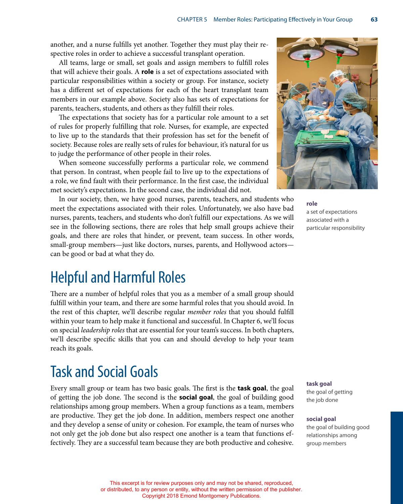<span id="page-2-0"></span>another, and a nurse fulfills yet another. Together they must play their respective roles in order to achieve a successful transplant operation.

All teams, large or small, set goals and assign members to fulfill roles that will achieve their goals. A **role** is a set of expectations associated with particular responsibilities within a society or group. For instance, society has a different set of expectations for each of the heart transplant team members in our example above. Society also has sets of expectations for parents, teachers, students, and others as they fulfill their roles.

The expectations that society has for a particular role amount to a set of rules for properly fulfilling that role. Nurses, for example, are expected to live up to the standards that their profession has set for the benefit of society. Because roles are really sets of rules for behaviour, it's natural for us to judge the performance of other people in their roles.

When someone successfully performs a particular role, we commend that person. In contrast, when people fail to live up to the expectations of a role, we find fault with their performance. In the first case, the individual met society's expectations. In the second case, the individual did not.

In our society, then, we have good nurses, parents, teachers, and students who meet the expectations associated with their roles. Unfortunately, we also have bad nurses, parents, teachers, and students who don't fulfill our expectations. As we will see in the following sections, there are roles that help small groups achieve their goals, and there are roles that hinder, or prevent, team success. In other words, small-group members—just like doctors, nurses, parents, and Hollywood actors can be good or bad at what they do.

## Helpful and Harmful Roles

There are a number of helpful roles that you as a member of a small group should fulfill within your team, and there are some harmful roles that you should avoid. In the rest of this chapter, we'll describe regular *member roles* that you should fulfill within your team to help make it functional and successful. In Chapter 6, we'll focus on special *leadership roles* that are essential for your team's success. In both chapters, we'll describe specific skills that you can and should develop to help your team reach its goals.

## Task and Social Goals

Every small group or team has two basic goals. The first is the **task goal**, the goal of getting the job done. The second is the **social goal**, the goal of building good relationships among group members. When a group functions as a team, members are productive. They get the job done. In addition, members respect one another and they develop a sense of unity or cohesion. For example, the team of nurses who not only get the job done but also respect one another is a team that functions effectively. They are a successful team because they are both productive and cohesive.



**role** a set of expectations associated with a particular responsibility

#### **task goal**

the goal of getting the job done

#### **social goal**

the goal of building good relationships among group members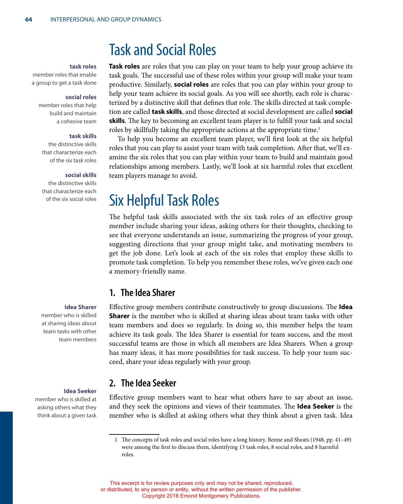## Task and Social Roles

#### **task roles**

<span id="page-3-0"></span>member roles that enable a group to get a task done

#### **social roles**

member roles that help build and maintain a cohesive team

#### **task skills**

the distinctive skills that characterize each of the six task roles

#### **social skills**

the distinctive skills that characterize each of the six social roles

#### **Idea Sharer**

member who is skilled at sharing ideas about team tasks with other team members

#### **Idea Seeker**

member who is skilled at asking others what they think about a given task **Task roles** are roles that you can play on your team to help your group achieve its task goals. The successful use of these roles within your group will make your team productive. Similarly, **social roles** are roles that you can play within your group to help your team achieve its social goals. As you will see shortly, each role is characterized by a distinctive skill that defines that role. The skills directed at task completion are called **task skills**, and those directed at social development are called **social skills**. The key to becoming an excellent team player is to fulfill your task and social roles by skillfully taking the appropriate actions at the appropriate time.<sup>1</sup>

To help you become an excellent team player, we'll first look at the six helpful roles that you can play to assist your team with task completion. After that, we'll examine the six roles that you can play within your team to build and maintain good relationships among members. Lastly, we'll look at six harmful roles that excellent team players manage to avoid.

## Six Helpful Task Roles

The helpful task skills associated with the six task roles of an effective group member include sharing your ideas, asking others for their thoughts, checking to see that everyone understands an issue, summarizing the progress of your group, suggesting directions that your group might take, and motivating members to get the job done. Let's look at each of the six roles that employ these skills to promote task completion. To help you remember these roles, we've given each one a memory-friendly name.

### **1. The Idea Sharer**

Effective group members contribute constructively to group discussions. The **Idea Sharer** is the member who is skilled at sharing ideas about team tasks with other team members and does so regularly. In doing so, this member helps the team achieve its task goals. The Idea Sharer is essential for team success, and the most successful teams are those in which all members are Idea Sharers. When a group has many ideas, it has more possibilities for task success. To help your team succeed, share your ideas regularly with your group.

### **2. The Idea Seeker**

Effective group members want to hear what others have to say about an issue, and they seek the opinions and views of their teammates. The **Idea Seeker** is the member who is skilled at asking others what they think about a given task. Idea

<sup>1</sup> The concepts of task roles and social roles have a long history. Benne and Sheats (1948, pp. 41–49) were among the first to discuss them, identifying 13 task roles, 8 social roles, and 8 harmful roles.

This excerpt is for review purposes only and may not be shared, reproduced, or distributed, to any person or entity, without the written permission of the publisher. Copyright 2018 Emond Montgomery Publications.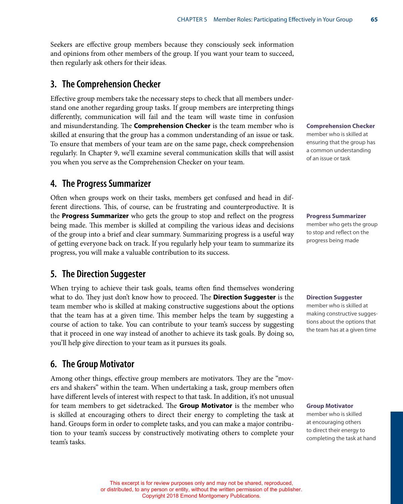<span id="page-4-0"></span>Seekers are effective group members because they consciously seek information and opinions from other members of the group. If you want your team to succeed, then regularly ask others for their ideas.

### **3. The Comprehension Checker**

Effective group members take the necessary steps to check that all members understand one another regarding group tasks. If group members are interpreting things differently, communication will fail and the team will waste time in confusion and misunderstanding. The **Comprehension Checker** is the team member who is skilled at ensuring that the group has a common understanding of an issue or task. To ensure that members of your team are on the same page, check comprehension regularly. In Chapter 9, we'll examine several communication skills that will assist you when you serve as the Comprehension Checker on your team.

### **4. The Progress Summarizer**

Often when groups work on their tasks, members get confused and head in different directions. This, of course, can be frustrating and counterproductive. It is the **Progress Summarizer** who gets the group to stop and reflect on the progress being made. This member is skilled at compiling the various ideas and decisions of the group into a brief and clear summary. Summarizing progress is a useful way of getting everyone back on track. If you regularly help your team to summarize its progress, you will make a valuable contribution to its success.

### **5. The Direction Suggester**

When trying to achieve their task goals, teams often find themselves wondering what to do. They just don't know how to proceed. The **Direction Suggester** is the team member who is skilled at making constructive suggestions about the options that the team has at a given time. This member helps the team by suggesting a course of action to take. You can contribute to your team's success by suggesting that it proceed in one way instead of another to achieve its task goals. By doing so, you'll help give direction to your team as it pursues its goals.

#### **6. The Group Motivator**

Among other things, effective group members are motivators. They are the "movers and shakers" within the team. When undertaking a task, group members often have different levels of interest with respect to that task. In addition, it's not unusual for team members to get sidetracked. The **Group Motivator** is the member who is skilled at encouraging others to direct their energy to completing the task at hand. Groups form in order to complete tasks, and you can make a major contribution to your team's success by constructively motivating others to complete your team's tasks.

**Comprehension Checker** member who is skilled at ensuring that the group has a common understanding of an issue or task

**Progress Summarizer** member who gets the group to stop and reflect on the progress being made

#### **Direction Suggester**

member who is skilled at making constructive suggestions about the options that the team has at a given time

**Group Motivator**

member who is skilled at encouraging others to direct their energy to completing the task at hand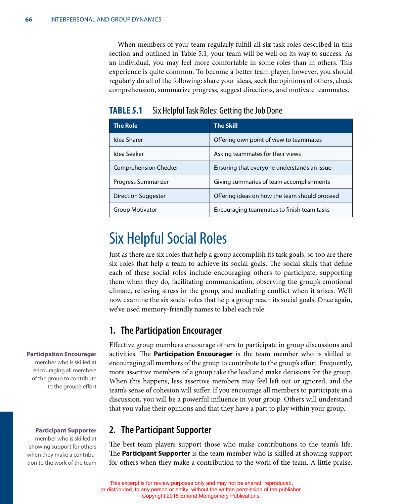<span id="page-5-0"></span>When members of your team regularly fulfill all six task roles described in this section and outlined in Table 5.1, your team will be well on its way to success. As an individual, you may feel more comfortable in some roles than in others. This experience is quite common. To become a better team player, however, you should regularly do all of the following: share your ideas, seek the opinions of others, check comprehension, summarize progress, suggest directions, and motivate teammates.

| <b>The Role</b>              | <b>The Skill</b>                              |  |
|------------------------------|-----------------------------------------------|--|
| Idea Sharer                  | Offering own point of view to teammates       |  |
| Idea Seeker                  | Asking teammates for their views              |  |
| <b>Comprehension Checker</b> | Ensuring that everyone understands an issue   |  |
| Progress Summarizer          | Giving summaries of team accomplishments      |  |
| Direction Suggester          | Offering ideas on how the team should proceed |  |
| <b>Group Motivator</b>       | Encouraging teammates to finish team tasks    |  |

**TABLE 5.1** Six Helpful Task Roles: Getting the Job Done

## Six Helpful Social Roles

Just as there are six roles that help a group accomplish its task goals, so too are there six roles that help a team to achieve its social goals. The social skills that define each of these social roles include encouraging others to participate, supporting them when they do, facilitating communication, observing the group's emotional climate, relieving stress in the group, and mediating conflict when it arises. We'll now examine the six social roles that help a group reach its social goals. Once again, we've used memory-friendly names to label each role.

### **1. The Participation Encourager**

Effective group members encourage others to participate in group discussions and activities. The **Participation Encourager** is the team member who is skilled at encouraging all members of the group to contribute to the group's effort. Frequently, more assertive members of a group take the lead and make decisions for the group. When this happens, less assertive members may feel left out or ignored, and the team's sense of cohesion will suffer. If you encourage all members to participate in a discussion, you will be a powerful influence in your group. Others will understand that you value their opinions and that they have a part to play within your group.

## **2. The Participant Supporter**

The best team players support those who make contributions to the team's life. The **Participant Supporter** is the team member who is skilled at showing support for others when they make a contribution to the work of the team. A little praise,

#### This excerpt is for review purposes only and may not be shared, reproduced, or distributed, to any person or entity, without the written permission of the publisher. Copyright 2018 Emond Montgomery Publications.

#### **Participation Encourager**

member who is skilled at encouraging all members of the group to contribute to the group's effort

#### **Participant Supporter**

member who is skilled at showing support for others when they make a contribution to the work of the team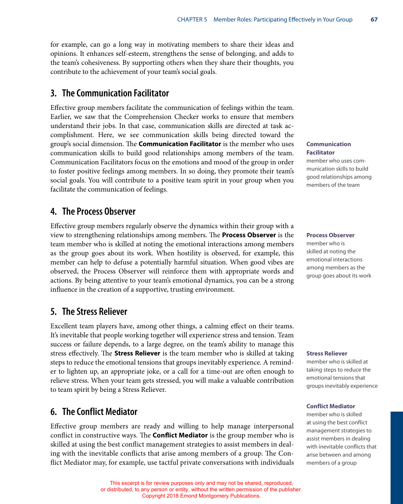<span id="page-6-0"></span>for example, can go a long way in motivating members to share their ideas and opinions. It enhances self-esteem, strengthens the sense of belonging, and adds to the team's cohesiveness. By supporting others when they share their thoughts, you contribute to the achievement of your team's social goals.

### **3. The Communication Facilitator**

Effective group members facilitate the communication of feelings within the team. Earlier, we saw that the Comprehension Checker works to ensure that members understand their jobs. In that case, communication skills are directed at task accomplishment. Here, we see communication skills being directed toward the group's social dimension. The **Communication Facilitator** is the member who uses communication skills to build good relationships among members of the team. Communication Facilitators focus on the emotions and mood of the group in order to foster positive feelings among members. In so doing, they promote their team's social goals. You will contribute to a positive team spirit in your group when you facilitate the communication of feelings.

#### **4. The Process Observer**

Effective group members regularly observe the dynamics within their group with a view to strengthening relationships among members. The **Process Observer** is the team member who is skilled at noting the emotional interactions among members as the group goes about its work. When hostility is observed, for example, this member can help to defuse a potentially harmful situation. When good vibes are observed, the Process Observer will reinforce them with appropriate words and actions. By being attentive to your team's emotional dynamics, you can be a strong influence in the creation of a supportive, trusting environment.

### **5. The Stress Reliever**

Excellent team players have, among other things, a calming effect on their teams. It's inevitable that people working together will experience stress and tension. Team success or failure depends, to a large degree, on the team's ability to manage this stress effectively. The **Stress Reliever** is the team member who is skilled at taking steps to reduce the emotional tensions that groups inevitably experience. A reminder to lighten up, an appropriate joke, or a call for a time-out are often enough to relieve stress. When your team gets stressed, you will make a valuable contribution to team spirit by being a Stress Reliever.

## **6. The Conflict Mediator**

Effective group members are ready and willing to help manage interpersonal conflict in constructive ways. The **Conflict Mediator** is the group member who is skilled at using the best conflict management strategies to assist members in dealing with the inevitable conflicts that arise among members of a group. The Conflict Mediator may, for example, use tactful private conversations with individuals **Communication Facilitator**

member who uses communication skills to build good relationships among members of the team

**Process Observer** member who is skilled at noting the emotional interactions among members as the group goes about its work

#### **Stress Reliever**

member who is skilled at taking steps to reduce the emotional tensions that groups inevitably experience

#### **Conflict Mediator**

member who is skilled at using the best conflict management strategies to assist members in dealing with inevitable conflicts that arise between and among members of a group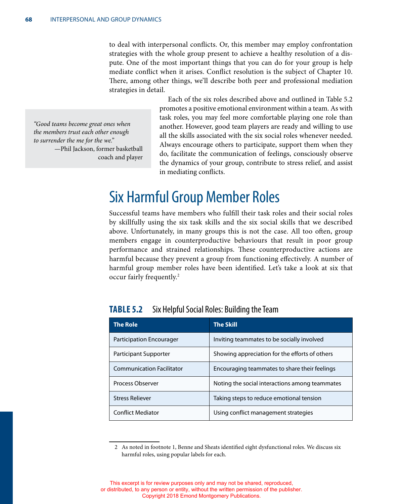<span id="page-7-0"></span>to deal with interpersonal conflicts. Or, this member may employ confrontation strategies with the whole group present to achieve a healthy resolution of a dispute. One of the most important things that you can do for your group is help mediate conflict when it arises. Conflict resolution is the subject of Chapter 10. There, among other things, we'll describe both peer and professional mediation strategies in detail.

*"Good teams become great ones when the members trust each other enough to surrender the me for the we."*  —Phil Jackson, former basketball coach and player

Each of the six roles described above and outlined in Table 5.2 promotes a positive emotional environment within a team. As with task roles, you may feel more comfortable playing one role than another. However, good team players are ready and willing to use all the skills associated with the six social roles whenever needed. Always encourage others to participate, support them when they do, facilitate the communication of feelings, consciously observe the dynamics of your group, contribute to stress relief, and assist in mediating conflicts.

## Six Harmful Group Member Roles

Successful teams have members who fulfill their task roles and their social roles by skillfully using the six task skills and the six social skills that we described above. Unfortunately, in many groups this is not the case. All too often, group members engage in counterproductive behaviours that result in poor group performance and strained relationships. These counterproductive actions are harmful because they prevent a group from functioning effectively. A number of harmful group member roles have been identified. Let's take a look at six that occur fairly frequently.<sup>2</sup>

| <b>The Role</b>                  | <b>The Skill</b>                               |
|----------------------------------|------------------------------------------------|
| <b>Participation Encourager</b>  | Inviting teammates to be socially involved     |
| Participant Supporter            | Showing appreciation for the efforts of others |
| <b>Communication Facilitator</b> | Encouraging teammates to share their feelings  |
| <b>Process Observer</b>          | Noting the social interactions among teammates |
| <b>Stress Reliever</b>           | Taking steps to reduce emotional tension       |
| <b>Conflict Mediator</b>         | Using conflict management strategies           |

#### **TABLE 5.2** Six Helpful Social Roles: Building the Team

<sup>2</sup> As noted in footnote 1, Benne and Sheats identified eight dysfunctional roles. We discuss six harmful roles, using popular labels for each.

This excerpt is for review purposes only and may not be shared, reproduced, or distributed, to any person or entity, without the written permission of the publisher. Copyright 2018 Emond Montgomery Publications.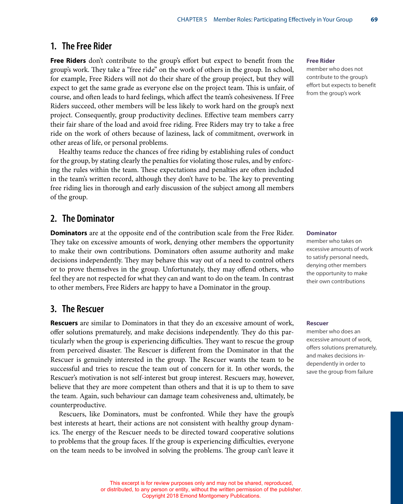### <span id="page-8-0"></span>**1. The Free Rider**

**Free Riders** don't contribute to the group's effort but expect to benefit from the group's work. They take a "free ride" on the work of others in the group. In school, for example, Free Riders will not do their share of the group project, but they will expect to get the same grade as everyone else on the project team. This is unfair, of course, and often leads to hard feelings, which affect the team's cohesiveness. If Free Riders succeed, other members will be less likely to work hard on the group's next project. Consequently, group productivity declines. Effective team members carry their fair share of the load and avoid free riding. Free Riders may try to take a free ride on the work of others because of laziness, lack of commitment, overwork in other areas of life, or personal problems.

Healthy teams reduce the chances of free riding by establishing rules of conduct for the group, by stating clearly the penalties for violating those rules, and by enforcing the rules within the team. These expectations and penalties are often included in the team's written record, although they don't have to be. The key to preventing free riding lies in thorough and early discussion of the subject among all members of the group.

### **2. The Dominator**

**Dominators** are at the opposite end of the contribution scale from the Free Rider. They take on excessive amounts of work, denying other members the opportunity to make their own contributions. Dominators often assume authority and make decisions independently. They may behave this way out of a need to control others or to prove themselves in the group. Unfortunately, they may offend others, who feel they are not respected for what they can and want to do on the team. In contrast to other members, Free Riders are happy to have a Dominator in the group.

#### **3. The Rescuer**

**Rescuers** are similar to Dominators in that they do an excessive amount of work, offer solutions prematurely, and make decisions independently. They do this particularly when the group is experiencing difficulties. They want to rescue the group from perceived disaster. The Rescuer is different from the Dominator in that the Rescuer is genuinely interested in the group. The Rescuer wants the team to be successful and tries to rescue the team out of concern for it. In other words, the Rescuer's motivation is not self-interest but group interest. Rescuers may, however, believe that they are more competent than others and that it is up to them to save the team. Again, such behaviour can damage team cohesiveness and, ultimately, be counterproductive.

Rescuers, like Dominators, must be confronted. While they have the group's best interests at heart, their actions are not consistent with healthy group dynamics. The energy of the Rescuer needs to be directed toward cooperative solutions to problems that the group faces. If the group is experiencing difficulties, everyone on the team needs to be involved in solving the problems. The group can't leave it

#### **Free Rider**

member who does not contribute to the group's effort but expects to benefit from the group's work

#### **Dominator**

member who takes on excessive amounts of work to satisfy personal needs, denying other members the opportunity to make their own contributions

#### **Rescuer**

member who does an excessive amount of work, offers solutions prematurely, and makes decisions independently in order to save the group from failure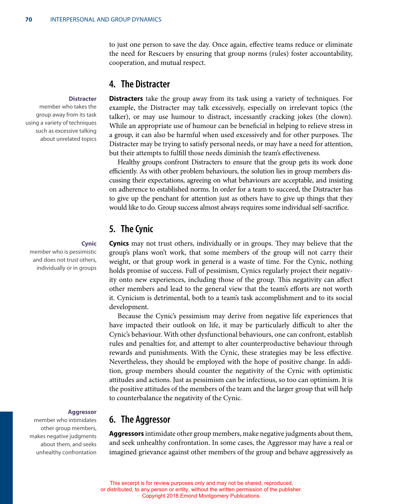to just one person to save the day. Once again, effective teams reduce or eliminate the need for Rescuers by ensuring that group norms (rules) foster accountability, cooperation, and mutual respect.

#### **4. The Distracter**

#### **Distracter**

<span id="page-9-0"></span>member who takes the group away from its task using a variety of techniques such as excessive talking about unrelated topics

#### **Cynic**

member who is pessimistic and does not trust others, individually or in groups

#### **Aggressor**

member who intimidates other group members, makes negative judgments about them, and seeks unhealthy confrontation **Distracters** take the group away from its task using a variety of techniques. For example, the Distracter may talk excessively, especially on irrelevant topics (the talker), or may use humour to distract, incessantly cracking jokes (the clown). While an appropriate use of humour can be beneficial in helping to relieve stress in a group, it can also be harmful when used excessively and for other purposes. The Distracter may be trying to satisfy personal needs, or may have a need for attention, but their attempts to fulfill those needs diminish the team's effectiveness.

Healthy groups confront Distracters to ensure that the group gets its work done efficiently. As with other problem behaviours, the solution lies in group members discussing their expectations, agreeing on what behaviours are acceptable, and insisting on adherence to established norms. In order for a team to succeed, the Distracter has to give up the penchant for attention just as others have to give up things that they would like to do. Group success almost always requires some individual self-sacrifice.

## **5. The Cynic**

**Cynics** may not trust others, individually or in groups. They may believe that the group's plans won't work, that some members of the group will not carry their weight, or that group work in general is a waste of time. For the Cynic, nothing holds promise of success. Full of pessimism, Cynics regularly project their negativity onto new experiences, including those of the group. This negativity can affect other members and lead to the general view that the team's efforts are not worth it. Cynicism is detrimental, both to a team's task accomplishment and to its social development.

Because the Cynic's pessimism may derive from negative life experiences that have impacted their outlook on life, it may be particularly difficult to alter the Cynic's behaviour. With other dysfunctional behaviours, one can confront, establish rules and penalties for, and attempt to alter counterproductive behaviour through rewards and punishments. With the Cynic, these strategies may be less effective. Nevertheless, they should be employed with the hope of positive change. In addition, group members should counter the negativity of the Cynic with optimistic attitudes and actions. Just as pessimism can be infectious, so too can optimism. It is the positive attitudes of the members of the team and the larger group that will help to counterbalance the negativity of the Cynic.

## **6. The Aggressor**

**Aggressors** intimidate other group members, make negative judgments about them, and seek unhealthy confrontation. In some cases, the Aggressor may have a real or imagined grievance against other members of the group and behave aggressively as

This excerpt is for review purposes only and may not be shared, reproduced, or distributed, to any person or entity, without the written permission of the publisher. Copyright 2018 Emond Montgomery Publications.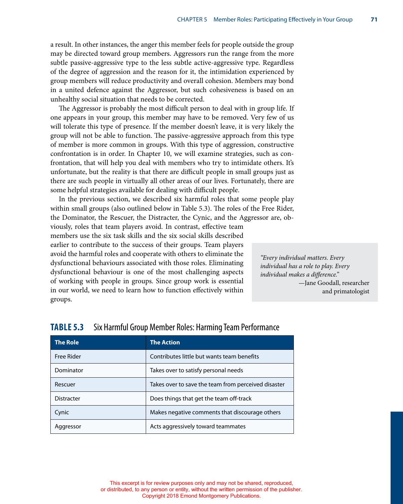a result. In other instances, the anger this member feels for people outside the group may be directed toward group members. Aggressors run the range from the more subtle passive-aggressive type to the less subtle active-aggressive type. Regardless of the degree of aggression and the reason for it, the intimidation experienced by group members will reduce productivity and overall cohesion. Members may bond in a united defence against the Aggressor, but such cohesiveness is based on an unhealthy social situation that needs to be corrected.

The Aggressor is probably the most difficult person to deal with in group life. If one appears in your group, this member may have to be removed. Very few of us will tolerate this type of presence. If the member doesn't leave, it is very likely the group will not be able to function. The passive-aggressive approach from this type of member is more common in groups. With this type of aggression, constructive confrontation is in order. In Chapter 10, we will examine strategies, such as confrontation, that will help you deal with members who try to intimidate others. It's unfortunate, but the reality is that there are difficult people in small groups just as there are such people in virtually all other areas of our lives. Fortunately, there are some helpful strategies available for dealing with difficult people.

In the previous section, we described six harmful roles that some people play within small groups (also outlined below in Table 5.3). The roles of the Free Rider, the Dominator, the Rescuer, the Distracter, the Cynic, and the Aggressor are, obviously, roles that team players avoid. In contrast, effective team members use the six task skills and the six social skills described earlier to contribute to the success of their groups. Team players avoid the harmful roles and cooperate with others to eliminate the dysfunctional behaviours associated with those roles. Eliminating dysfunctional behaviour is one of the most challenging aspects of working with people in groups. Since group work is essential in our world, we need to learn how to function effectively within groups.

*"Every individual matters. Every individual has a role to play. Every individual makes a difference."*  —Jane Goodall, researcher and primatologist

| <b>The Role</b>   | <b>The Action</b>                                   |
|-------------------|-----------------------------------------------------|
| Free Rider        | Contributes little but wants team benefits          |
| Dominator         | Takes over to satisfy personal needs                |
| Rescuer           | Takes over to save the team from perceived disaster |
| <b>Distracter</b> | Does things that get the team off-track             |
| Cynic             | Makes negative comments that discourage others      |
| Aggressor         | Acts aggressively toward teammates                  |

#### **TABLE 5.3** Six Harmful Group Member Roles: Harming Team Performance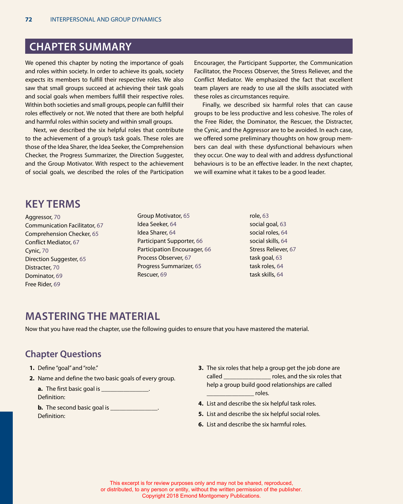## <span id="page-11-0"></span>**CHAPTER SUMMARY**

We opened this chapter by noting the importance of goals and roles within society. In order to achieve its goals, society expects its members to fulfill their respective roles. We also saw that small groups succeed at achieving their task goals and social goals when members fulfill their respective roles. Within both societies and small groups, people can fulfill their roles effectively or not. We noted that there are both helpful and harmful roles within society and within small groups.

Next, we described the six helpful roles that contribute to the achievement of a group's task goals. These roles are those of the Idea Sharer, the Idea Seeker, the Comprehension Checker, the Progress Summarizer, the Direction Suggester, and the Group Motivator. With respect to the achievement of social goals, we described the roles of the Participation Encourager, the Participant Supporter, the Communication Facilitator, the Process Observer, the Stress Reliever, and the Conflict Mediator. We emphasized the fact that excellent team players are ready to use all the skills associated with these roles as circumstances require.

Finally, we described six harmful roles that can cause groups to be less productive and less cohesive. The roles of the Free Rider, the Dominator, the Rescuer, the Distracter, the Cynic, and the Aggressor are to be avoided. In each case, we offered some preliminary thoughts on how group members can deal with these dysfunctional behaviours when they occur. One way to deal with and address dysfunctional behaviours is to be an effective leader. In the next chapter, we will examine what it takes to be a good leader.

## **KEY TERMS**

- [Aggressor, 70](#page-9-0) [Communication Facilitator, 67](#page-6-0) [Comprehension Checker, 65](#page-4-0) [Conflict Mediator, 67](#page-6-0) [Cynic, 70](#page-9-0) [Direction Suggester, 65](#page-4-0) [Distracter, 70](#page-9-0) [Dominator, 69](#page-8-0) [Free Rider, 69](#page-8-0)
- [Group Motivator, 65](#page-4-0) [Idea Seeker, 64](#page-3-0) [Idea Sharer, 64](#page-3-0) [Participant Supporter, 66](#page-5-0) [Participation Encourager, 66](#page-5-0) [Process Observer, 67](#page-6-0) [Progress Summarizer, 65](#page-4-0) [Rescuer, 69](#page-8-0)
- [role, 63](#page-2-0) [social goal, 63](#page-2-0) [social roles, 64](#page-3-0) [social skills, 64](#page-3-0) [Stress Reliever, 67](#page-6-0) [task goal, 63](#page-2-0) [task roles, 64](#page-3-0) [task skills, 64](#page-3-0)

## **MASTERING THE MATERIAL**

Now that you have read the chapter, use the following guides to ensure that you have mastered the material.

## **Chapter Questions**

- **1.** Define "goal" and "role."
- **2.** Name and define the two basic goals of every group.

**a.** The first basic goal is \_\_\_\_\_\_\_\_\_\_\_\_\_\_\_\_. Definition:

**b.** The second basic goal is \_\_\_\_\_\_\_\_\_\_\_\_\_\_\_. Definition:

- **3.** The six roles that help a group get the job done are called \_\_\_\_\_\_\_\_\_\_\_\_\_\_\_ roles, and the six roles that help a group build good relationships are called \_\_\_\_\_\_\_\_\_\_\_\_\_\_\_ roles.
- **4.** List and describe the six helpful task roles.
- **5.** List and describe the six helpful social roles.
- **6.** List and describe the six harmful roles.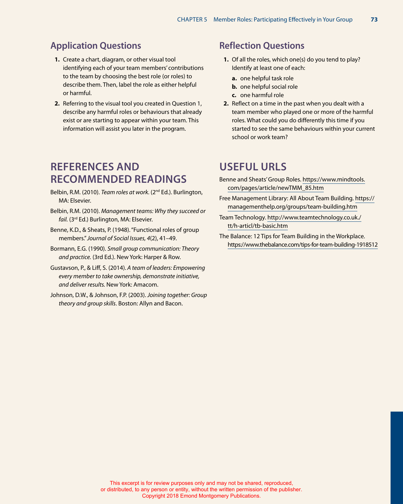## **Application Questions**

- **1.** Create a chart, diagram, or other visual tool identifying each of your team members' contributions to the team by choosing the best role (or roles) to describe them. Then, label the role as either helpful or harmful.
- **2.** Referring to the visual tool you created in Question 1, describe any harmful roles or behaviours that already exist or are starting to appear within your team. This information will assist you later in the program.

## **REFERENCES AND RECOMMENDED READINGS**

- Belbin, R.M. (2010). *Team roles at work*. (2<sup>nd</sup> Ed.). Burlington, MA: Elsevier.
- Belbin, R.M. (2010). *Management teams: Why they succeed or fail.* (3rd Ed.) Burlington, MA: Elsevier.
- Benne, K.D., & Sheats, P. (1948). "Functional roles of group members." *Journal of Social Issues, 4*(2), 41–49.
- Bormann, E.G. (1990). *Small group communication: Theory and practice.* (3rd Ed.). New York: Harper & Row.
- Gustavson, P., & Liff, S. (2014). *A team of leaders: Empowering every member to take ownership, demonstrate initiative, and deliver results.* New York: Amacom.
- Johnson, D.W., & Johnson, F.P. (2003). *Joining together: Group theory and group skills*. Boston: Allyn and Bacon.

### **Reflection Questions**

- **1.** Of all the roles, which one(s) do you tend to play? Identify at least one of each:
	- **a.** one helpful task role
	- **b.** one helpful social role
	- **c.** one harmful role
- **2.** Reflect on a time in the past when you dealt with a team member who played one or more of the harmful roles. What could you do differently this time if you started to see the same behaviours within your current school or work team?

## **USEFUL URLS**

- Benne and Sheats' Group Roles. [https://www.mindtools.](https://www.mindtools.com/pages/article/newTMM_85.htm) [com/pages/article/newTMM\\_85.htm](https://www.mindtools.com/pages/article/newTMM_85.htm)
- Free Management Library: All About Team Building. [https://](https://managementhelp.org/groups/team-building.htm) [managementhelp.org/groups/team-building.htm](https://managementhelp.org/groups/team-building.htm)
- Team Technology. [http://www.teamtechnology.co.uk./](http://www.teamtechnology.co.uk./tt/h-articl/tb-basic.htm) [tt/h-articl/tb-basic.htm](http://www.teamtechnology.co.uk./tt/h-articl/tb-basic.htm)
- The Balance: 12 Tips for Team Building in the Workplace. <https://www.thebalance.com/tips-for-team-building-1918512>